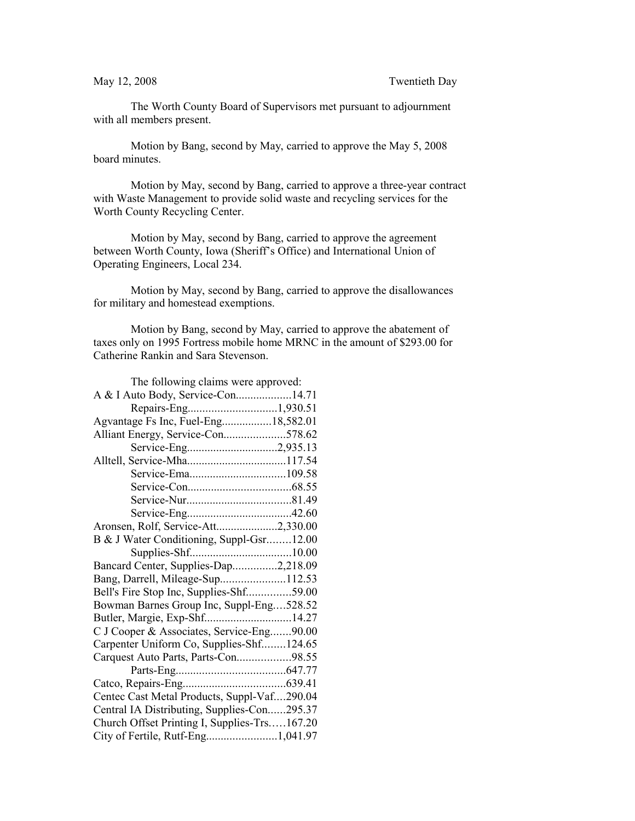The Worth County Board of Supervisors met pursuant to adjournment with all members present.

Motion by Bang, second by May, carried to approve the May 5, 2008 board minutes.

Motion by May, second by Bang, carried to approve a three-year contract with Waste Management to provide solid waste and recycling services for the Worth County Recycling Center.

Motion by May, second by Bang, carried to approve the agreement between Worth County, Iowa (Sheriff's Office) and International Union of Operating Engineers, Local 234.

Motion by May, second by Bang, carried to approve the disallowances for military and homestead exemptions.

Motion by Bang, second by May, carried to approve the abatement of taxes only on 1995 Fortress mobile home MRNC in the amount of \$293.00 for Catherine Rankin and Sara Stevenson.

| The following claims were approved:          |
|----------------------------------------------|
| A & I Auto Body, Service-Con14.71            |
|                                              |
| Agvantage Fs Inc, Fuel-Eng18,582.01          |
| Alliant Energy, Service-Con578.62            |
| Service-Eng2,935.13                          |
|                                              |
|                                              |
|                                              |
|                                              |
|                                              |
| Aronsen, Rolf, Service-Att2,330.00           |
| B & J Water Conditioning, Suppl-Gsr12.00     |
|                                              |
| Bancard Center, Supplies-Dap2,218.09         |
| Bang, Darrell, Mileage-Sup112.53             |
| Bell's Fire Stop Inc, Supplies-Shf59.00      |
| Bowman Barnes Group Inc, Suppl-Eng528.52     |
| Butler, Margie, Exp-Shf14.27                 |
| C J Cooper & Associates, Service-Eng90.00    |
| Carpenter Uniform Co, Supplies-Shf124.65     |
| Carquest Auto Parts, Parts-Con98.55          |
|                                              |
|                                              |
| Centec Cast Metal Products, Suppl-Vaf290.04  |
| Central IA Distributing, Supplies-Con295.37  |
| Church Offset Printing I, Supplies-Trs167.20 |
| City of Fertile, Rutf-Eng1,041.97            |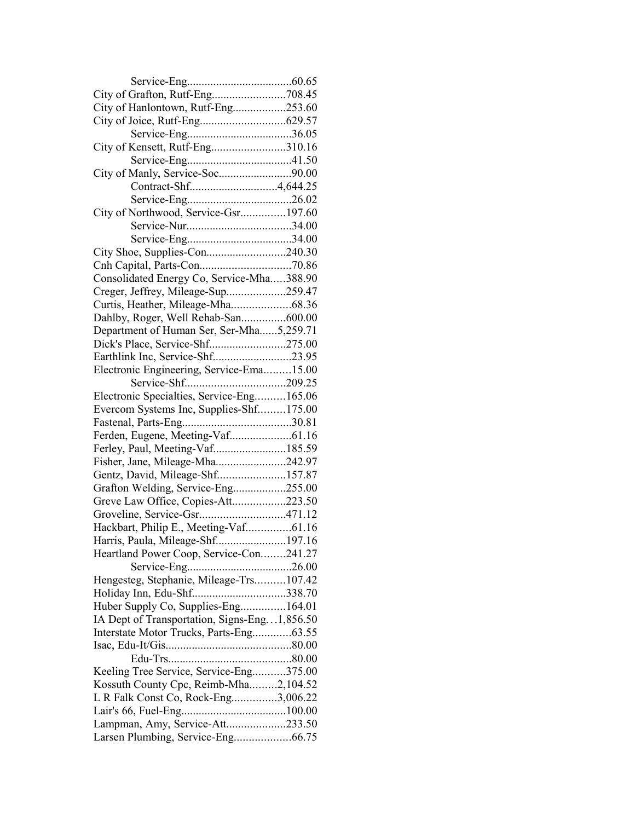| City of Hanlontown, Rutf-Eng253.60           |  |
|----------------------------------------------|--|
|                                              |  |
|                                              |  |
| City of Kensett, Rutf-Eng310.16              |  |
|                                              |  |
| City of Manly, Service-Soc90.00              |  |
|                                              |  |
|                                              |  |
| City of Northwood, Service-Gsr197.60         |  |
|                                              |  |
|                                              |  |
|                                              |  |
|                                              |  |
|                                              |  |
| Consolidated Energy Co, Service-Mha388.90    |  |
| Creger, Jeffrey, Mileage-Sup259.47           |  |
| Curtis, Heather, Mileage-Mha68.36            |  |
| Dahlby, Roger, Well Rehab-San600.00          |  |
| Department of Human Ser, Ser-Mha5,259.71     |  |
| Dick's Place, Service-Shf275.00              |  |
| Earthlink Inc, Service-Shf23.95              |  |
| Electronic Engineering, Service-Ema15.00     |  |
|                                              |  |
| Electronic Specialties, Service-Eng165.06    |  |
| Evercom Systems Inc, Supplies-Shf175.00      |  |
|                                              |  |
|                                              |  |
| Ferley, Paul, Meeting-Vaf185.59              |  |
| Fisher, Jane, Mileage-Mha242.97              |  |
| Gentz, David, Mileage-Shf157.87              |  |
|                                              |  |
| Grafton Welding, Service-Eng255.00           |  |
| Greve Law Office, Copies-Att223.50           |  |
| Groveline, Service-Gsr471.12                 |  |
| Hackbart, Philip E., Meeting-Vaf61.16        |  |
| Harris, Paula, Mileage-Shf197.16             |  |
| Heartland Power Coop, Service-Con241.27      |  |
|                                              |  |
| Hengesteg, Stephanie, Mileage-Trs107.42      |  |
| Holiday Inn, Edu-Shf338.70                   |  |
| Huber Supply Co, Supplies-Eng164.01          |  |
| IA Dept of Transportation, Signs-Eng1,856.50 |  |
| Interstate Motor Trucks, Parts-Eng63.55      |  |
|                                              |  |
|                                              |  |
| Keeling Tree Service, Service-Eng375.00      |  |
| Kossuth County Cpc, Reimb-Mha2,104.52        |  |
| L R Falk Const Co, Rock-Eng3,006.22          |  |
|                                              |  |
| Lampman, Amy, Service-Att233.50              |  |
| Larsen Plumbing, Service-Eng66.75            |  |
|                                              |  |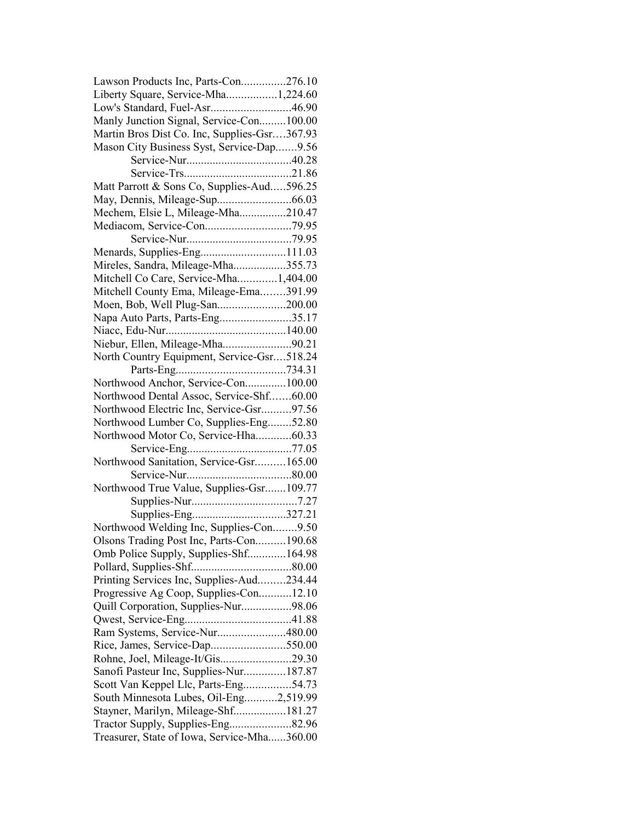| Lawson Products Inc, Parts-Con276.10         |  |
|----------------------------------------------|--|
| Liberty Square, Service-Mha1,224.60          |  |
| Low's Standard, Fuel-Asr46.90                |  |
| Manly Junction Signal, Service-Con100.00     |  |
| Martin Bros Dist Co. Inc, Supplies-Gsr367.93 |  |
| Mason City Business Syst, Service-Dap9.56    |  |
|                                              |  |
|                                              |  |
| Matt Parrott & Sons Co, Supplies-Aud596.25   |  |
|                                              |  |
| Mechem, Elsie L, Mileage-Mha210.47           |  |
| Mediacom, Service-Con79.95                   |  |
|                                              |  |
| Menards, Supplies-Eng111.03                  |  |
| Mireles, Sandra, Mileage-Mha355.73           |  |
| Mitchell Co Care, Service-Mha1,404.00        |  |
| Mitchell County Ema, Mileage-Ema391.99       |  |
| Moen, Bob, Well Plug-San200.00               |  |
|                                              |  |
| Napa Auto Parts, Parts-Eng35.17              |  |
|                                              |  |
| Niebur, Ellen, Mileage-Mha90.21              |  |
| North Country Equipment, Service-Gsr518.24   |  |
|                                              |  |
| Northwood Anchor, Service-Con100.00          |  |
| Northwood Dental Assoc, Service-Shf60.00     |  |
| Northwood Electric Inc, Service-Gsr97.56     |  |
| Northwood Lumber Co, Supplies-Eng52.80       |  |
| Northwood Motor Co, Service-Hha60.33         |  |
|                                              |  |
| Northwood Sanitation, Service-Gsr165.00      |  |
|                                              |  |
| Northwood True Value, Supplies-Gsr109.77     |  |
|                                              |  |
|                                              |  |
| Northwood Welding Inc, Supplies-Con9.50      |  |
| Olsons Trading Post Inc, Parts-Con190.68     |  |
| Omb Police Supply, Supplies-Shf164.98        |  |
|                                              |  |
| Printing Services Inc, Supplies-Aud234.44    |  |
| Progressive Ag Coop, Supplies-Con12.10       |  |
| Quill Corporation, Supplies-Nur98.06         |  |
|                                              |  |
| Ram Systems, Service-Nur480.00               |  |
| Rice, James, Service-Dap550.00               |  |
| Rohne, Joel, Mileage-It/Gis29.30             |  |
| Sanofi Pasteur Inc, Supplies-Nur187.87       |  |
| Scott Van Keppel Llc, Parts-Eng54.73         |  |
| South Minnesota Lubes, Oil-Eng2,519.99       |  |
| Stayner, Marilyn, Mileage-Shf181.27          |  |
|                                              |  |
|                                              |  |
| Treasurer, State of Iowa, Service-Mha360.00  |  |